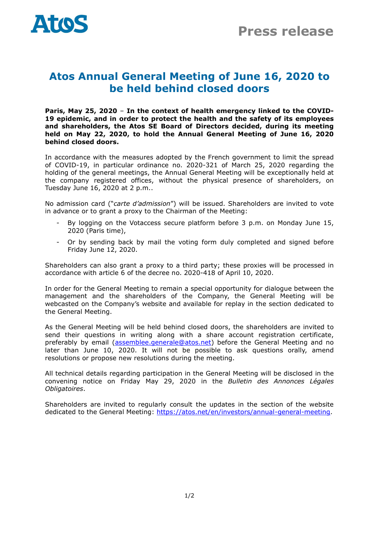

## **Atos Annual General Meeting of June 16, 2020 to be held behind closed doors**

**Paris, May 25, 2020** – **In the context of health emergency linked to the COVID-19 epidemic, and in order to protect the health and the safety of its employees and shareholders, the Atos SE Board of Directors decided, during its meeting held on May 22, 2020, to hold the Annual General Meeting of June 16, 2020 behind closed doors.**

In accordance with the measures adopted by the French government to limit the spread of COVID-19, in particular ordinance no. 2020-321 of March 25, 2020 regarding the holding of the general meetings, the Annual General Meeting will be exceptionally held at the company registered offices, without the physical presence of shareholders, on Tuesday June 16, 2020 at 2 p.m..

No admission card ("*carte d'admission*") will be issued. Shareholders are invited to vote in advance or to grant a proxy to the Chairman of the Meeting:

- By logging on the Votaccess secure platform before 3 p.m. on Monday June 15, 2020 (Paris time),
- Or by sending back by mail the voting form duly completed and signed before Friday June 12, 2020.

Shareholders can also grant a proxy to a third party; these proxies will be processed in accordance with article 6 of the decree no. 2020-418 of April 10, 2020.

In order for the General Meeting to remain a special opportunity for dialogue between the management and the shareholders of the Company, the General Meeting will be webcasted on the Company's website and available for replay in the section dedicated to the General Meeting.

As the General Meeting will be held behind closed doors, the shareholders are invited to send their questions in writing along with a share account registration certificate, preferably by email [\(assemblee.generale@atos.net\)](mailto:assemblee.generale@atos.net) before the General Meeting and no later than June 10, 2020. It will not be possible to ask questions orally, amend resolutions or propose new resolutions during the meeting.

All technical details regarding participation in the General Meeting will be disclosed in the convening notice on Friday May 29, 2020 in the *Bulletin des Annonces Légales Obligatoires*.

Shareholders are invited to regularly consult the updates in the section of the website dedicated to the General Meeting: [https://atos.net/en/investors/annual-general-meeting.](https://atos.net/en/investors/annual-general-meeting)